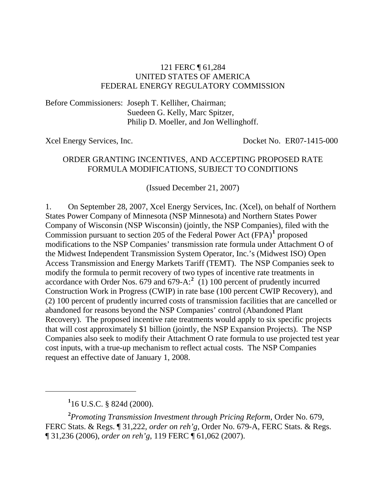#### 121 FERC ¶ 61,284 UNITED STATES OF AMERICA FEDERAL ENERGY REGULATORY COMMISSION

Before Commissioners: Joseph T. Kelliher, Chairman; Suedeen G. Kelly, Marc Spitzer, Philip D. Moeller, and Jon Wellinghoff.

Xcel Energy Services, Inc. Docket No. ER07-1415-000

#### ORDER GRANTING INCENTIVES, AND ACCEPTING PROPOSED RATE FORMULA MODIFICATIONS, SUBJECT TO CONDITIONS

(Issued December 21, 2007)

1. On September 28, 2007, Xcel Energy Services, Inc. (Xcel), on behalf of Northern States Power Company of Minnesota (NSP Minnesota) and Northern States Power Company of Wisconsin (NSP Wisconsin) (jointly, the NSP Companies), filed with the Commission pursuant to section 205 of the Federal Power Act (FPA)<sup>[1](#page-0-0)</sup> proposed modifications to the NSP Companies' transmission rate formula under Attachment O of the Midwest Independent Transmission System Operator, Inc.'s (Midwest ISO) Open Access Transmission and Energy Markets Tariff (TEMT). The NSP Companies seek to modify the formula to permit recovery of two types of incentive rate treatments in accordance with Order Nos.  $679$  and  $679-A$ <sup>[2](#page-0-1)</sup> (1) 100 percent of prudently incurred Construction Work in Progress (CWIP) in rate base (100 percent CWIP Recovery), and (2) 100 percent of prudently incurred costs of transmission facilities that are cancelled or abandoned for reasons beyond the NSP Companies' control (Abandoned Plant Recovery). The proposed incentive rate treatments would apply to six specific projects that will cost approximately \$1 billion (jointly, the NSP Expansion Projects). The NSP Companies also seek to modify their Attachment O rate formula to use projected test year cost inputs, with a true-up mechanism to reflect actual costs. The NSP Companies request an effective date of January 1, 2008.

**1** 16 U.S.C. § 824d (2000).

 $\overline{a}$ 

<span id="page-0-1"></span><span id="page-0-0"></span>**2** *Promoting Transmission Investment through Pricing Reform*, Order No. 679, FERC Stats. & Regs. ¶ 31,222, *order on reh'g*, Order No. 679-A, FERC Stats. & Regs. ¶ 31,236 (2006), *order on reh'g*, 119 FERC ¶ 61,062 (2007).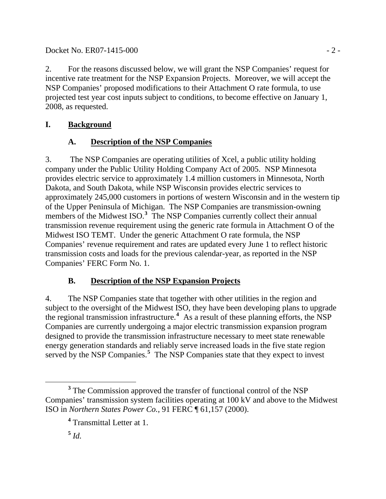### Docket No. ER07-1415-000 - 2 -

2. For the reasons discussed below, we will grant the NSP Companies' request for incentive rate treatment for the NSP Expansion Projects. Moreover, we will accept the NSP Companies' proposed modifications to their Attachment O rate formula, to use projected test year cost inputs subject to conditions, to become effective on January 1, 2008, as requested.

## **I. Background**

# **A. Description of the NSP Companies**

3. The NSP Companies are operating utilities of Xcel, a public utility holding company under the Public Utility Holding Company Act of 2005. NSP Minnesota provides electric service to approximately 1.4 million customers in Minnesota, North Dakota, and South Dakota, while NSP Wisconsin provides electric services to approximately 245,000 customers in portions of western Wisconsin and in the western tip of the Upper Peninsula of Michigan. The NSP Companies are transmission-owning members of the Midwest ISO.<sup>[3](#page-1-0)</sup> The NSP Companies currently collect their annual transmission revenue requirement using the generic rate formula in Attachment O of the Midwest ISO TEMT. Under the generic Attachment O rate formula, the NSP Companies' revenue requirement and rates are updated every June 1 to reflect historic transmission costs and loads for the previous calendar-year, as reported in the NSP Companies' FERC Form No. 1.

## **B. Description of the NSP Expansion Projects**

4. The NSP Companies state that together with other utilities in the region and subject to the oversight of the Midwest ISO, they have been developing plans to upgrade the regional transmission infrastructure.**[4](#page-1-1)** As a result of these planning efforts, the NSP Companies are currently undergoing a major electric transmission expansion program designed to provide the transmission infrastructure necessary to meet state renewable energy generation standards and reliably serve increased loads in the five state region served by the NSP Companies.<sup>[5](#page-1-2)</sup> The NSP Companies state that they expect to invest

<span id="page-1-1"></span><span id="page-1-0"></span>**<sup>3</sup>** <sup>3</sup> The Commission approved the transfer of functional control of the NSP Companies' transmission system facilities operating at 100 kV and above to the Midwest ISO in *Northern States Power Co.*, 91 FERC ¶ 61,157 (2000).

**<sup>4</sup>** Transmittal Letter at 1.

<span id="page-1-2"></span> $^5$  *Id.*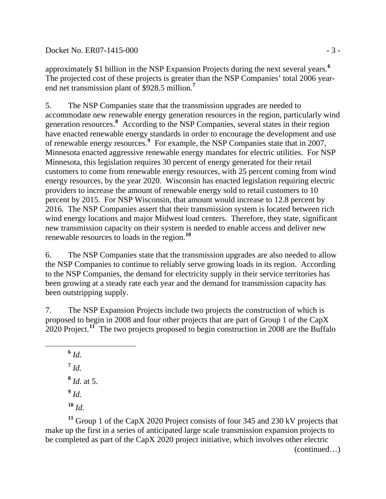#### Docket No. ER07-1415-000 - 3 -

approximately \$1 billion in the NSP Expansion Projects during the next several years.**[6](#page-2-0)** The projected cost of these projects is greater than the NSP Companies' total 2006 yearend net transmission plant of \$928.5 million.**[7](#page-2-1)**

5. The NSP Companies state that the transmission upgrades are needed to accommodate new renewable energy generation resources in the region, particularly wind generation resources.**[8](#page-2-2)** According to the NSP Companies, several states in their region have enacted renewable energy standards in order to encourage the development and use of renewable energy resources.**[9](#page-2-3)** For example, the NSP Companies state that in 2007, Minnesota enacted aggressive renewable energy mandates for electric utilities. For NSP Minnesota, this legislation requires 30 percent of energy generated for their retail customers to come from renewable energy resources, with 25 percent coming from wind energy resources, by the year 2020. Wisconsin has enacted legislation requiring electric providers to increase the amount of renewable energy sold to retail customers to 10 percent by 2015. For NSP Wisconsin, that amount would increase to 12.8 percent by 2016. The NSP Companies assert that their transmission system is located between rich wind energy locations and major Midwest load centers. Therefore, they state, significant new transmission capacity on their system is needed to enable access and deliver new renewable resources to loads in the region.**[10](#page-2-4)**

6. The NSP Companies state that the transmission upgrades are also needed to allow the NSP Companies to continue to reliably serve growing loads in its region. According to the NSP Companies, the demand for electricity supply in their service territories has been growing at a steady rate each year and the demand for transmission capacity has been outstripping supply.

7. The NSP Expansion Projects include two projects the construction of which is proposed to begin in 2008 and four other projects that are part of Group 1 of the CapX 2020 Project.**[11](#page-2-5)** The two projects proposed to begin construction in 2008 are the Buffalo

**<sup>6</sup>** *Id.*

<span id="page-2-1"></span><span id="page-2-0"></span>

 $^7$  *Id.* 

- **<sup>8</sup>** *Id.* at 5.
- $9$  *Id.*

**<sup>10</sup>** *Id.*

<span id="page-2-5"></span><span id="page-2-4"></span><span id="page-2-3"></span><span id="page-2-2"></span>(continued…) **<sup>11</sup>** Group 1 of the CapX 2020 Project consists of four 345 and 230 kV projects that make up the first in a series of anticipated large scale transmission expansion projects to be completed as part of the CapX 2020 project initiative, which involves other electric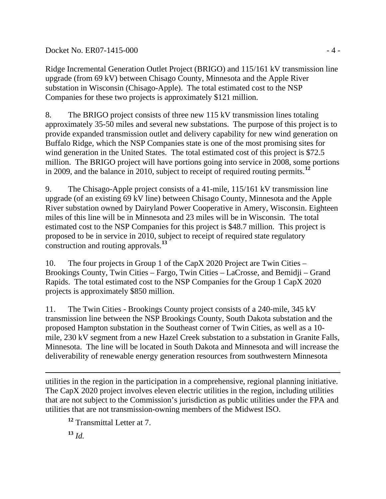### Docket No. ER07-1415-000 - 4 -

Ridge Incremental Generation Outlet Project (BRIGO) and 115/161 kV transmission line upgrade (from 69 kV) between Chisago County, Minnesota and the Apple River substation in Wisconsin (Chisago-Apple). The total estimated cost to the NSP Companies for these two projects is approximately \$121 million.

8. The BRIGO project consists of three new 115 kV transmission lines totaling approximately 35-50 miles and several new substations. The purpose of this project is to provide expanded transmission outlet and delivery capability for new wind generation on Buffalo Ridge, which the NSP Companies state is one of the most promising sites for wind generation in the United States. The total estimated cost of this project is \$72.5 million. The BRIGO project will have portions going into service in 2008, some portions in 2009, and the balance in 2010, subject to receipt of required routing permits.**[12](#page-3-0)**

9. The Chisago-Apple project consists of a 41-mile, 115/161 kV transmission line upgrade (of an existing 69 kV line) between Chisago County, Minnesota and the Apple River substation owned by Dairyland Power Cooperative in Amery, Wisconsin. Eighteen miles of this line will be in Minnesota and 23 miles will be in Wisconsin. The total estimated cost to the NSP Companies for this project is \$48.7 million. This project is proposed to be in service in 2010, subject to receipt of required state regulatory construction and routing approvals.**[13](#page-3-1)**

10. The four projects in Group 1 of the CapX 2020 Project are Twin Cities – Brookings County, Twin Cities – Fargo, Twin Cities – LaCrosse, and Bemidji – Grand Rapids. The total estimated cost to the NSP Companies for the Group 1 CapX 2020 projects is approximately \$850 million.

11. The Twin Cities - Brookings County project consists of a 240-mile, 345 kV transmission line between the NSP Brookings County, South Dakota substation and the proposed Hampton substation in the Southeast corner of Twin Cities, as well as a 10 mile, 230 kV segment from a new Hazel Creek substation to a substation in Granite Falls, Minnesota. The line will be located in South Dakota and Minnesota and will increase the deliverability of renewable energy generation resources from southwestern Minnesota

 $\overline{a}$ utilities in the region in the participation in a comprehensive, regional planning initiative. The CapX 2020 project involves eleven electric utilities in the region, including utilities that are not subject to the Commission's jurisdiction as public utilities under the FPA and utilities that are not transmission-owning members of the Midwest ISO.

<span id="page-3-0"></span>**<sup>12</sup>** Transmittal Letter at 7.

<span id="page-3-1"></span>**<sup>13</sup>** *Id.*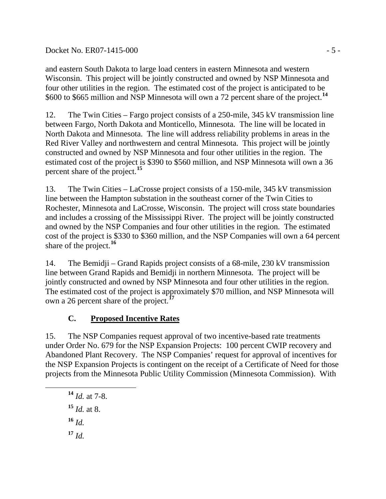### Docket No. ER07-1415-000 - 5 -

and eastern South Dakota to large load centers in eastern Minnesota and western Wisconsin. This project will be jointly constructed and owned by NSP Minnesota and four other utilities in the region. The estimated cost of the project is anticipated to be \$600 to \$665 million and NSP Minnesota will own a 72 percent share of the project.**[14](#page-4-0)**

12. The Twin Cities – Fargo project consists of a 250-mile, 345 kV transmission line between Fargo, North Dakota and Monticello, Minnesota. The line will be located in North Dakota and Minnesota. The line will address reliability problems in areas in the Red River Valley and northwestern and central Minnesota. This project will be jointly constructed and owned by NSP Minnesota and four other utilities in the region. The estimated cost of the project is \$390 to \$560 million, and NSP Minnesota will own a 36 percent share of the project.**[15](#page-4-1)**

13. The Twin Cities – LaCrosse project consists of a 150-mile, 345 kV transmission line between the Hampton substation in the southeast corner of the Twin Cities to Rochester, Minnesota and LaCrosse, Wisconsin. The project will cross state boundaries and includes a crossing of the Mississippi River. The project will be jointly constructed and owned by the NSP Companies and four other utilities in the region. The estimated cost of the project is \$330 to \$360 million, and the NSP Companies will own a 64 percent share of the project.**[16](#page-4-2)**

14. The Bemidji – Grand Rapids project consists of a 68-mile, 230 kV transmission line between Grand Rapids and Bemidji in northern Minnesota. The project will be jointly constructed and owned by NSP Minnesota and four other utilities in the region. The estimated cost of the project is approximately \$70 million, and NSP Minnesota will own a 26 percent share of the project.**[17](#page-4-3)**

## **C. Proposed Incentive Rates**

15. The NSP Companies request approval of two incentive-based rate treatments under Order No. 679 for the NSP Expansion Projects: 100 percent CWIP recovery and Abandoned Plant Recovery. The NSP Companies' request for approval of incentives for the NSP Expansion Projects is contingent on the receipt of a Certificate of Need for those projects from the Minnesota Public Utility Commission (Minnesota Commission). With

- <span id="page-4-0"></span>**<sup>14</sup>** *Id.* at 7-8.
- **<sup>15</sup>** *Id.* at 8.
- <span id="page-4-1"></span> $16$  *Id.*
- <span id="page-4-3"></span><span id="page-4-2"></span>**<sup>17</sup>** *Id.*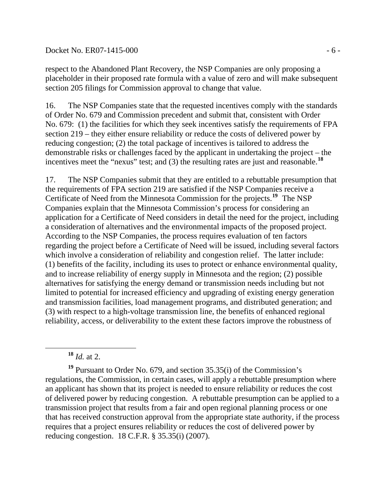#### Docket No. ER07-1415-000 - 6 -

respect to the Abandoned Plant Recovery, the NSP Companies are only proposing a placeholder in their proposed rate formula with a value of zero and will make subsequent section 205 filings for Commission approval to change that value.

16. The NSP Companies state that the requested incentives comply with the standards of Order No. 679 and Commission precedent and submit that, consistent with Order No. 679: (1) the facilities for which they seek incentives satisfy the requirements of FPA section 219 – they either ensure reliability or reduce the costs of delivered power by reducing congestion; (2) the total package of incentives is tailored to address the demonstrable risks or challenges faced by the applicant in undertaking the project – the incentives meet the "nexus" test; and (3) the resulting rates are just and reasonable.<sup>[18](#page-5-0)</sup>

17. The NSP Companies submit that they are entitled to a rebuttable presumption that the requirements of FPA section 219 are satisfied if the NSP Companies receive a Certificate of Need from the Minnesota Commission for the projects.**[19](#page-5-1)** The NSP Companies explain that the Minnesota Commission's process for considering an application for a Certificate of Need considers in detail the need for the project, including a consideration of alternatives and the environmental impacts of the proposed project. According to the NSP Companies, the process requires evaluation of ten factors regarding the project before a Certificate of Need will be issued, including several factors which involve a consideration of reliability and congestion relief. The latter include: (1) benefits of the facility, including its uses to protect or enhance environmental quality, and to increase reliability of energy supply in Minnesota and the region; (2) possible alternatives for satisfying the energy demand or transmission needs including but not limited to potential for increased efficiency and upgrading of existing energy generation and transmission facilities, load management programs, and distributed generation; and (3) with respect to a high-voltage transmission line, the benefits of enhanced regional reliability, access, or deliverability to the extent these factors improve the robustness of

**<sup>18</sup>** *Id.* at 2.

<span id="page-5-1"></span><span id="page-5-0"></span>**<sup>19</sup>** Pursuant to Order No. 679, and section 35.35(i) of the Commission's regulations, the Commission, in certain cases, will apply a rebuttable presumption where an applicant has shown that its project is needed to ensure reliability or reduces the cost of delivered power by reducing congestion. A rebuttable presumption can be applied to a transmission project that results from a fair and open regional planning process or one that has received construction approval from the appropriate state authority, if the process requires that a project ensures reliability or reduces the cost of delivered power by reducing congestion. 18 C.F.R. § 35.35(i) (2007).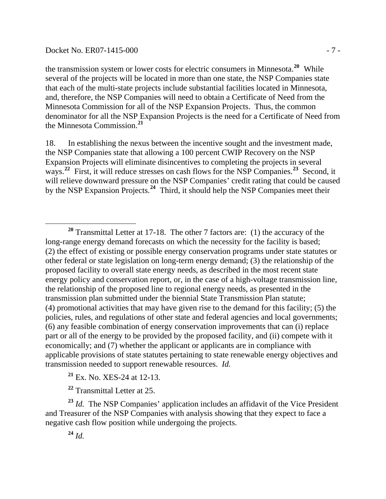#### Docket No. ER07-1415-000 - 7 -

 $\overline{a}$ 

the transmission system or lower costs for electric consumers in Minnesota.**[20](#page-6-0)** While several of the projects will be located in more than one state, the NSP Companies state that each of the multi-state projects include substantial facilities located in Minnesota, and, therefore, the NSP Companies will need to obtain a Certificate of Need from the Minnesota Commission for all of the NSP Expansion Projects. Thus, the common denominator for all the NSP Expansion Projects is the need for a Certificate of Need from the Minnesota Commission.**[21](#page-6-1)**

18. In establishing the nexus between the incentive sought and the investment made, the NSP Companies state that allowing a 100 percent CWIP Recovery on the NSP Expansion Projects will eliminate disincentives to completing the projects in several ways.<sup>[22](#page-6-2)</sup> First, it will reduce stresses on cash flows for the NSP Companies.<sup>[23](#page-6-3)</sup> Second, it will relieve downward pressure on the NSP Companies' credit rating that could be caused by the NSP Expansion Projects.**[24](#page-6-4)** Third, it should help the NSP Companies meet their

**<sup>21</sup>** Ex. No. XES-24 at 12-13.

**<sup>22</sup>** Transmittal Letter at 25.

 $^{24}$  *Id.* 

<span id="page-6-4"></span><span id="page-6-3"></span><span id="page-6-2"></span><span id="page-6-1"></span>**<sup>23</sup>** *Id.* The NSP Companies' application includes an affidavit of the Vice President and Treasurer of the NSP Companies with analysis showing that they expect to face a negative cash flow position while undergoing the projects.

<span id="page-6-0"></span>**<sup>20</sup>** Transmittal Letter at 17-18. The other 7 factors are: (1) the accuracy of the long-range energy demand forecasts on which the necessity for the facility is based; (2) the effect of existing or possible energy conservation programs under state statutes or other federal or state legislation on long-term energy demand; (3) the relationship of the proposed facility to overall state energy needs, as described in the most recent state energy policy and conservation report, or, in the case of a high-voltage transmission line, the relationship of the proposed line to regional energy needs, as presented in the transmission plan submitted under the biennial State Transmission Plan statute; (4) promotional activities that may have given rise to the demand for this facility; (5) the policies, rules, and regulations of other state and federal agencies and local governments; (6) any feasible combination of energy conservation improvements that can (i) replace part or all of the energy to be provided by the proposed facility, and (ii) compete with it economically; and (7) whether the applicant or applicants are in compliance with applicable provisions of state statutes pertaining to state renewable energy objectives and transmission needed to support renewable resources. *Id.*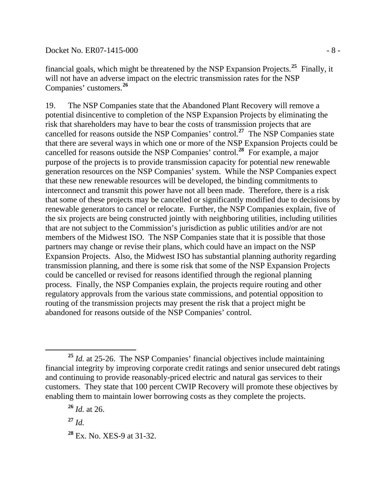Docket No. ER07-1415-000 - 8 -

financial goals, which might be threatened by the NSP Expansion Projects.**[25](#page-7-0)** Finally, it will not have an adverse impact on the electric transmission rates for the NSP Companies' customers.**[26](#page-7-1)**

19. The NSP Companies state that the Abandoned Plant Recovery will remove a potential disincentive to completion of the NSP Expansion Projects by eliminating the risk that shareholders may have to bear the costs of transmission projects that are cancelled for reasons outside the NSP Companies' control.**[27](#page-7-2)** The NSP Companies state that there are several ways in which one or more of the NSP Expansion Projects could be cancelled for reasons outside the NSP Companies' control.**[28](#page-7-3)** For example, a major purpose of the projects is to provide transmission capacity for potential new renewable generation resources on the NSP Companies' system. While the NSP Companies expect that these new renewable resources will be developed, the binding commitments to interconnect and transmit this power have not all been made. Therefore, there is a risk that some of these projects may be cancelled or significantly modified due to decisions by renewable generators to cancel or relocate. Further, the NSP Companies explain, five of the six projects are being constructed jointly with neighboring utilities, including utilities that are not subject to the Commission's jurisdiction as public utilities and/or are not members of the Midwest ISO. The NSP Companies state that it is possible that those partners may change or revise their plans, which could have an impact on the NSP Expansion Projects. Also, the Midwest ISO has substantial planning authority regarding transmission planning, and there is some risk that some of the NSP Expansion Projects could be cancelled or revised for reasons identified through the regional planning process. Finally, the NSP Companies explain, the projects require routing and other regulatory approvals from the various state commissions, and potential opposition to routing of the transmission projects may present the risk that a project might be abandoned for reasons outside of the NSP Companies' control.

<span id="page-7-0"></span>**<sup>25</sup>** *Id.* at 25-26. The NSP Companies' financial objectives include maintaining financial integrity by improving corporate credit ratings and senior unsecured debt ratings and continuing to provide reasonably-priced electric and natural gas services to their customers. They state that 100 percent CWIP Recovery will promote these objectives by enabling them to maintain lower borrowing costs as they complete the projects.

**<sup>26</sup>** *Id.* at 26.

<span id="page-7-2"></span><span id="page-7-1"></span>**<sup>27</sup>** *Id.*

<span id="page-7-3"></span>**<sup>28</sup>** Ex. No. XES-9 at 31-32.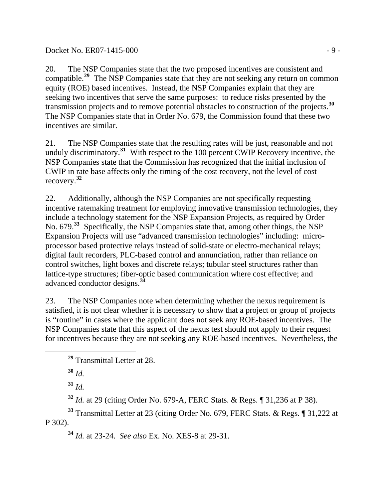20. The NSP Companies state that the two proposed incentives are consistent and compatible.<sup>[29](#page-8-0)</sup> The NSP Companies state that they are not seeking any return on common equity (ROE) based incentives. Instead, the NSP Companies explain that they are seeking two incentives that serve the same purposes: to reduce risks presented by the transmission projects and to remove potential obstacles to construction of the projects.**[30](#page-8-1)** The NSP Companies state that in Order No. 679, the Commission found that these two incentives are similar.

21. The NSP Companies state that the resulting rates will be just, reasonable and not unduly discriminatory.<sup>[31](#page-8-2)</sup> With respect to the 100 percent CWIP Recovery incentive, the NSP Companies state that the Commission has recognized that the initial inclusion of CWIP in rate base affects only the timing of the cost recovery, not the level of cost recovery.**[32](#page-8-3)**

22. Additionally, although the NSP Companies are not specifically requesting incentive ratemaking treatment for employing innovative transmission technologies, they include a technology statement for the NSP Expansion Projects, as required by Order No. 679.**[33](#page-8-4)** Specifically, the NSP Companies state that, among other things, the NSP Expansion Projects will use "advanced transmission technologies" including: microprocessor based protective relays instead of solid-state or electro-mechanical relays; digital fault recorders, PLC-based control and annunciation, rather than reliance on control switches, light boxes and discrete relays; tubular steel structures rather than lattice-type structures; fiber-optic based communication where cost effective; and advanced conductor designs.**[34](#page-8-5)**

23. The NSP Companies note when determining whether the nexus requirement is satisfied, it is not clear whether it is necessary to show that a project or group of projects is "routine" in cases where the applicant does not seek any ROE-based incentives. The NSP Companies state that this aspect of the nexus test should not apply to their request for incentives because they are not seeking any ROE-based incentives. Nevertheless, the

**<sup>30</sup>** *Id.* 

<span id="page-8-1"></span><span id="page-8-0"></span>

**<sup>31</sup>** *Id.* 

**<sup>32</sup>** *Id.* at 29 (citing Order No. 679-A, FERC Stats. & Regs. ¶ 31,236 at P 38).

<span id="page-8-5"></span><span id="page-8-4"></span><span id="page-8-3"></span><span id="page-8-2"></span>**<sup>33</sup>** Transmittal Letter at 23 (citing Order No. 679, FERC Stats. & Regs. ¶ 31,222 at P 302).

**<sup>34</sup>** *Id.* at 23-24. *See also* Ex. No. XES-8 at 29-31.

**<sup>29</sup>** Transmittal Letter at 28.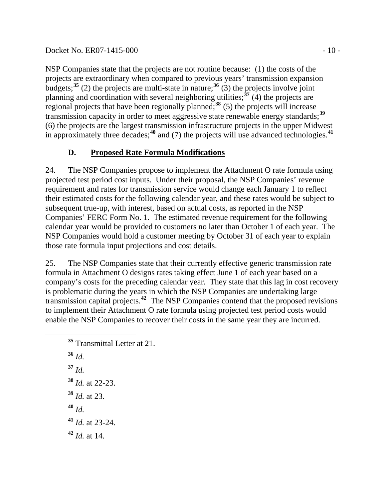#### Docket No. ER07-1415-000 - 10 -

NSP Companies state that the projects are not routine because: (1) the costs of the projects are extraordinary when compared to previous years' transmission expansion budgets;<sup>[35](#page-9-0)</sup> (2) the projects are multi-state in nature;<sup>[36](#page-9-1)</sup> (3) the projects involve joint planning and coordination with several neighboring utilities;**[37](#page-9-2)** (4) the projects are regional projects that have been regionally planned;**[38](#page-9-3)** (5) the projects will increase transmission capacity in order to meet aggressive state renewable energy standards;**[39](#page-9-4)** (6) the projects are the largest transmission infrastructure projects in the upper Midwest in approximately three decades;<sup>[40](#page-9-5)</sup> and (7) the projects will use advanced technologies.<sup>[41](#page-9-6)</sup>

## **D. Proposed Rate Formula Modifications**

24. The NSP Companies propose to implement the Attachment O rate formula using projected test period cost inputs. Under their proposal, the NSP Companies' revenue requirement and rates for transmission service would change each January 1 to reflect their estimated costs for the following calendar year, and these rates would be subject to subsequent true-up, with interest, based on actual costs, as reported in the NSP Companies' FERC Form No. 1. The estimated revenue requirement for the following calendar year would be provided to customers no later than October 1 of each year. The NSP Companies would hold a customer meeting by October 31 of each year to explain those rate formula input projections and cost details.

25. The NSP Companies state that their currently effective generic transmission rate formula in Attachment O designs rates taking effect June 1 of each year based on a company's costs for the preceding calendar year. They state that this lag in cost recovery is problematic during the years in which the NSP Companies are undertaking large transmission capital projects.**[42](#page-9-7)** The NSP Companies contend that the proposed revisions to implement their Attachment O rate formula using projected test period costs would enable the NSP Companies to recover their costs in the same year they are incurred.

- <span id="page-9-2"></span><span id="page-9-1"></span><span id="page-9-0"></span> **<sup>35</sup>** Transmittal Letter at 21. **<sup>36</sup>** *Id.*  **<sup>37</sup>** *Id.*  **<sup>38</sup>** *Id.* at 22-23. **<sup>39</sup>** *Id.* at 23. **<sup>40</sup>** *Id.*
- <span id="page-9-6"></span><span id="page-9-5"></span><span id="page-9-4"></span><span id="page-9-3"></span>**<sup>41</sup>** *Id.* at 23-24.
- <span id="page-9-7"></span>**<sup>42</sup>** *Id.* at 14.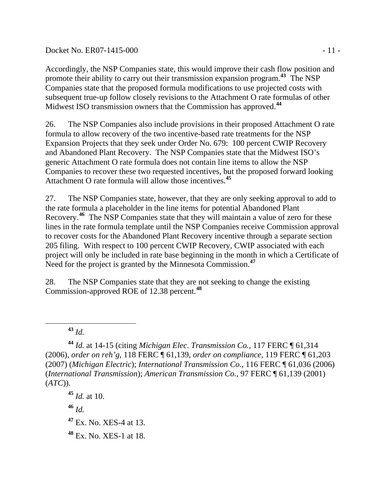#### Docket No. ER07-1415-000 - 11 -

Accordingly, the NSP Companies state, this would improve their cash flow position and promote their ability to carry out their transmission expansion program.**[43](#page-10-0)** The NSP Companies state that the proposed formula modifications to use projected costs with subsequent true-up follow closely revisions to the Attachment O rate formulas of other Midwest ISO transmission owners that the Commission has approved.**[44](#page-10-1)**

26. The NSP Companies also include provisions in their proposed Attachment O rate formula to allow recovery of the two incentive-based rate treatments for the NSP Expansion Projects that they seek under Order No. 679: 100 percent CWIP Recovery and Abandoned Plant Recovery. The NSP Companies state that the Midwest ISO's generic Attachment O rate formula does not contain line items to allow the NSP Companies to recover these two requested incentives, but the proposed forward looking Attachment O rate formula will allow those incentives.**[45](#page-10-2)**

27. The NSP Companies state, however, that they are only seeking approval to add to the rate formula a placeholder in the line items for potential Abandoned Plant Recovery.**[46](#page-10-3)** The NSP Companies state that they will maintain a value of zero for these lines in the rate formula template until the NSP Companies receive Commission approval to recover costs for the Abandoned Plant Recovery incentive through a separate section 205 filing. With respect to 100 percent CWIP Recovery, CWIP associated with each project will only be included in rate base beginning in the month in which a Certificate of Need for the project is granted by the Minnesota Commission.**[47](#page-10-4)**

28. The NSP Companies state that they are not seeking to change the existing Commission-approved ROE of 12.38 percent.**[48](#page-10-5)**

 $\overline{a}$ 

<span id="page-10-2"></span>**<sup>45</sup>** *Id.* at 10.

<span id="page-10-3"></span>**<sup>46</sup>** *Id.*

<span id="page-10-4"></span>**<sup>47</sup>** Ex. No. XES-4 at 13.

<span id="page-10-5"></span>**<sup>48</sup>** Ex. No. XES-1 at 18.

**<sup>43</sup>** *Id.* 

<span id="page-10-1"></span><span id="page-10-0"></span>**<sup>44</sup>** *Id.* at 14-15 (citing *Michigan Elec. Transmission Co.,* 117 FERC ¶ 61,314 (2006), *order on reh'g*, 118 FERC ¶ 61,139, *order on compliance*, 119 FERC ¶ 61,203 (2007) (*Michigan Electric*); *International Transmission Co.,* 116 FERC ¶ 61,036 (2006) (*International Transmission*); *American Transmission Co.,* 97 FERC ¶ 61,139 (2001) (*ATC*)).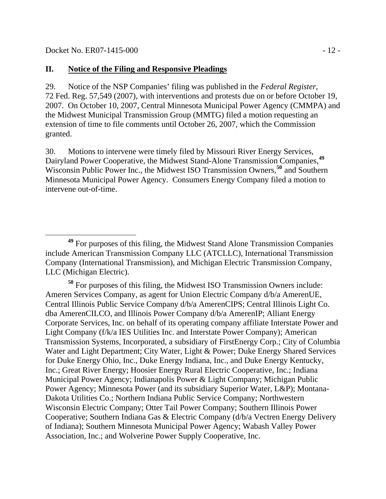#### **II. Notice of the Filing and Responsive Pleadings**

29. Notice of the NSP Companies' filing was published in the *Federal Register*, 72 Fed. Reg. 57,549 (2007), with interventions and protests due on or before October 19, 2007. On October 10, 2007, Central Minnesota Municipal Power Agency (CMMPA) and the Midwest Municipal Transmission Group (MMTG) filed a motion requesting an extension of time to file comments until October 26, 2007, which the Commission granted.

30. Motions to intervene were timely filed by Missouri River Energy Services, Dairyland Power Cooperative, the Midwest Stand-Alone Transmission Companies,**[49](#page-11-0)** Wisconsin Public Power Inc., the Midwest ISO Transmission Owners,**[50](#page-11-1)** and Southern Minnesota Municipal Power Agency. Consumers Energy Company filed a motion to intervene out-of-time.

<span id="page-11-1"></span>**<sup>50</sup>** For purposes of this filing, the Midwest ISO Transmission Owners include: Ameren Services Company, as agent for Union Electric Company d/b/a AmerenUE, Central Illinois Public Service Company d/b/a AmerenCIPS; Central Illinois Light Co. dba AmerenCILCO, and Illinois Power Company d/b/a AmerenIP; Alliant Energy Corporate Services, Inc. on behalf of its operating company affiliate Interstate Power and Light Company (f/k/a IES Utilities Inc. and Interstate Power Company); American Transmission Systems, Incorporated, a subsidiary of FirstEnergy Corp.; City of Columbia Water and Light Department; City Water, Light & Power; Duke Energy Shared Services for Duke Energy Ohio, Inc., Duke Energy Indiana, Inc., and Duke Energy Kentucky, Inc.; Great River Energy; Hoosier Energy Rural Electric Cooperative, Inc.; Indiana Municipal Power Agency; Indianapolis Power & Light Company; Michigan Public Power Agency; Minnesota Power (and its subsidiary Superior Water, L&P); Montana-Dakota Utilities Co.; Northern Indiana Public Service Company; Northwestern Wisconsin Electric Company; Otter Tail Power Company; Southern Illinois Power Cooperative; Southern Indiana Gas & Electric Company (d/b/a Vectren Energy Delivery of Indiana); Southern Minnesota Municipal Power Agency; Wabash Valley Power Association, Inc.; and Wolverine Power Supply Cooperative, Inc.

<span id="page-11-0"></span>**<sup>49</sup>** For purposes of this filing, the Midwest Stand Alone Transmission Companies include American Transmission Company LLC (ATCLLC), International Transmission Company (International Transmission), and Michigan Electric Transmission Company, LLC (Michigan Electric).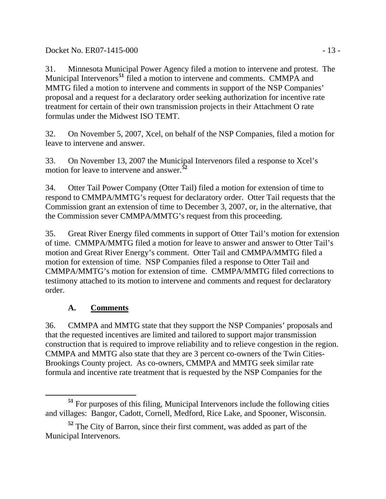Docket No. ER07-1415-000 - 13 -

31. Minnesota Municipal Power Agency filed a motion to intervene and protest. The Municipal Intervenors**[51](#page-12-0)** filed a motion to intervene and comments. CMMPA and MMTG filed a motion to intervene and comments in support of the NSP Companies' proposal and a request for a declaratory order seeking authorization for incentive rate treatment for certain of their own transmission projects in their Attachment O rate formulas under the Midwest ISO TEMT.

32. On November 5, 2007, Xcel, on behalf of the NSP Companies, filed a motion for leave to intervene and answer.

33. On November 13, 2007 the Municipal Intervenors filed a response to Xcel's motion for leave to intervene and answer.**[52](#page-12-1)**

34. Otter Tail Power Company (Otter Tail) filed a motion for extension of time to respond to CMMPA/MMTG's request for declaratory order. Otter Tail requests that the Commission grant an extension of time to December 3, 2007, or, in the alternative, that the Commission sever CMMPA/MMTG's request from this proceeding.

35. Great River Energy filed comments in support of Otter Tail's motion for extension of time. CMMPA/MMTG filed a motion for leave to answer and answer to Otter Tail's motion and Great River Energy's comment. Otter Tail and CMMPA/MMTG filed a motion for extension of time. NSP Companies filed a response to Otter Tail and CMMPA/MMTG's motion for extension of time. CMMPA/MMTG filed corrections to testimony attached to its motion to intervene and comments and request for declaratory order.

## **A. Comments**

36. CMMPA and MMTG state that they support the NSP Companies' proposals and that the requested incentives are limited and tailored to support major transmission construction that is required to improve reliability and to relieve congestion in the region. CMMPA and MMTG also state that they are 3 percent co-owners of the Twin Cities-Brookings County project. As co-owners, CMMPA and MMTG seek similar rate formula and incentive rate treatment that is requested by the NSP Companies for the

<span id="page-12-0"></span>**<sup>51</sup>** For purposes of this filing, Municipal Intervenors include the following cities and villages: Bangor, Cadott, Cornell, Medford, Rice Lake, and Spooner, Wisconsin.

<span id="page-12-1"></span>**<sup>52</sup>** The City of Barron, since their first comment, was added as part of the Municipal Intervenors.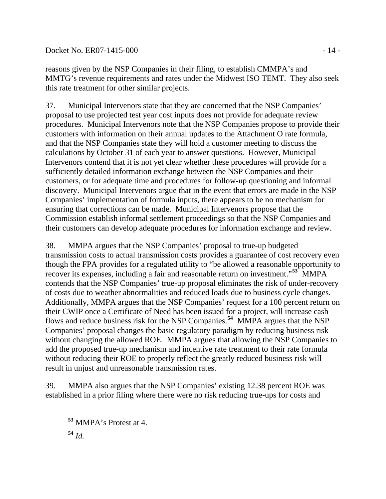### Docket No. ER07-1415-000 - 14 -

reasons given by the NSP Companies in their filing, to establish CMMPA's and MMTG's revenue requirements and rates under the Midwest ISO TEMT. They also seek this rate treatment for other similar projects.

37. Municipal Intervenors state that they are concerned that the NSP Companies' proposal to use projected test year cost inputs does not provide for adequate review procedures. Municipal Intervenors note that the NSP Companies propose to provide their customers with information on their annual updates to the Attachment O rate formula, and that the NSP Companies state they will hold a customer meeting to discuss the calculations by October 31 of each year to answer questions. However, Municipal Intervenors contend that it is not yet clear whether these procedures will provide for a sufficiently detailed information exchange between the NSP Companies and their customers, or for adequate time and procedures for follow-up questioning and informal discovery. Municipal Intervenors argue that in the event that errors are made in the NSP Companies' implementation of formula inputs, there appears to be no mechanism for ensuring that corrections can be made. Municipal Intervenors propose that the Commission establish informal settlement proceedings so that the NSP Companies and their customers can develop adequate procedures for information exchange and review.

38. MMPA argues that the NSP Companies' proposal to true-up budgeted transmission costs to actual transmission costs provides a guarantee of cost recovery even though the FPA provides for a regulated utility to "be allowed a reasonable opportunity to recover its expenses, including a fair and reasonable return on investment."<sup>[53](#page-13-0)</sup> MMPA contends that the NSP Companies' true-up proposal eliminates the risk of under-recovery of costs due to weather abnormalities and reduced loads due to business cycle changes. Additionally, MMPA argues that the NSP Companies' request for a 100 percent return on their CWIP once a Certificate of Need has been issued for a project, will increase cash flows and reduce business risk for the NSP Companies.**[54](#page-13-1)** MMPA argues that the NSP Companies' proposal changes the basic regulatory paradigm by reducing business risk without changing the allowed ROE. MMPA argues that allowing the NSP Companies to add the proposed true-up mechanism and incentive rate treatment to their rate formula without reducing their ROE to properly reflect the greatly reduced business risk will result in unjust and unreasonable transmission rates.

39. MMPA also argues that the NSP Companies' existing 12.38 percent ROE was established in a prior filing where there were no risk reducing true-ups for costs and

<span id="page-13-1"></span><span id="page-13-0"></span>

**<sup>53</sup>** MMPA's Protest at 4.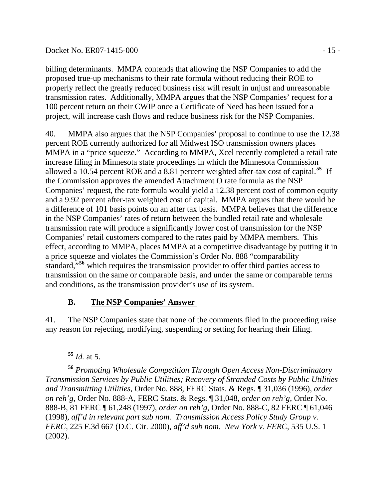#### Docket No. ER07-1415-000 - 15 -

billing determinants. MMPA contends that allowing the NSP Companies to add the proposed true-up mechanisms to their rate formula without reducing their ROE to properly reflect the greatly reduced business risk will result in unjust and unreasonable transmission rates. Additionally, MMPA argues that the NSP Companies' request for a 100 percent return on their CWIP once a Certificate of Need has been issued for a project, will increase cash flows and reduce business risk for the NSP Companies.

40. MMPA also argues that the NSP Companies' proposal to continue to use the 12.38 percent ROE currently authorized for all Midwest ISO transmission owners places MMPA in a "price squeeze." According to MMPA, Xcel recently completed a retail rate increase filing in Minnesota state proceedings in which the Minnesota Commission allowed a 10.54 percent ROE and a 8.81 percent weighted after-tax cost of capital.**[55](#page-14-0)** If the Commission approves the amended Attachment O rate formula as the NSP Companies' request, the rate formula would yield a 12.38 percent cost of common equity and a 9.92 percent after-tax weighted cost of capital. MMPA argues that there would be a difference of 101 basis points on an after tax basis. MMPA believes that the difference in the NSP Companies' rates of return between the bundled retail rate and wholesale transmission rate will produce a significantly lower cost of transmission for the NSP Companies' retail customers compared to the rates paid by MMPA members. This effect, according to MMPA, places MMPA at a competitive disadvantage by putting it in a price squeeze and violates the Commission's Order No. 888 "comparability standard,<sup>5[56](#page-14-1)</sup> which requires the transmission provider to offer third parties access to transmission on the same or comparable basis, and under the same or comparable terms and conditions, as the transmission provider's use of its system.

### **B. The NSP Companies' Answer**

41. The NSP Companies state that none of the comments filed in the proceeding raise any reason for rejecting, modifying, suspending or setting for hearing their filing.

**<sup>55</sup>** *Id.* at 5.

<span id="page-14-1"></span><span id="page-14-0"></span>**<sup>56</sup>** *Promoting Wholesale Competition Through Open Access Non-Discriminatory Transmission Services by Public Utilities; Recovery of Stranded Costs by Public Utilities and Transmitting Utilities*, Order No. 888, FERC Stats. & Regs. ¶ 31,036 (1996), *order on reh'g*, Order No. 888-A, FERC Stats. & Regs. ¶ 31,048, *order on reh'g*, Order No. 888-B, 81 FERC ¶ 61,248 (1997), *order on reh'g*, Order No. 888-C, 82 FERC ¶ 61,046 (1998), *aff'd in relevant part sub nom. Transmission Access Policy Study Group v. FERC*, 225 F.3d 667 (D.C. Cir. 2000), *aff'd sub nom. New York v. FERC*, 535 U.S. 1 (2002).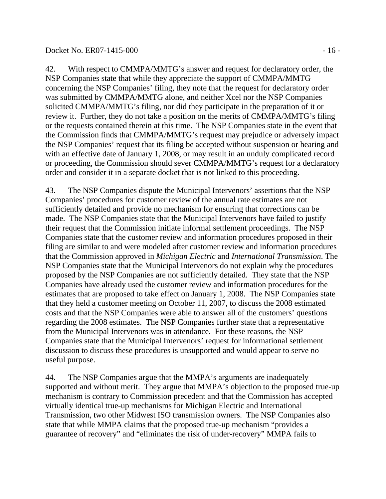42. With respect to CMMPA/MMTG's answer and request for declaratory order, the NSP Companies state that while they appreciate the support of CMMPA/MMTG concerning the NSP Companies' filing, they note that the request for declaratory order was submitted by CMMPA/MMTG alone, and neither Xcel nor the NSP Companies solicited CMMPA/MMTG's filing, nor did they participate in the preparation of it or review it. Further, they do not take a position on the merits of CMMPA/MMTG's filing or the requests contained therein at this time. The NSP Companies state in the event that the Commission finds that CMMPA/MMTG's request may prejudice or adversely impact the NSP Companies' request that its filing be accepted without suspension or hearing and with an effective date of January 1, 2008, or may result in an unduly complicated record or proceeding, the Commission should sever CMMPA/MMTG's request for a declaratory order and consider it in a separate docket that is not linked to this proceeding.

43. The NSP Companies dispute the Municipal Intervenors' assertions that the NSP Companies' procedures for customer review of the annual rate estimates are not sufficiently detailed and provide no mechanism for ensuring that corrections can be made. The NSP Companies state that the Municipal Intervenors have failed to justify their request that the Commission initiate informal settlement proceedings. The NSP Companies state that the customer review and information procedures proposed in their filing are similar to and were modeled after customer review and information procedures that the Commission approved in *Michigan Electric* and *International Transmission*. The NSP Companies state that the Municipal Intervenors do not explain why the procedures proposed by the NSP Companies are not sufficiently detailed. They state that the NSP Companies have already used the customer review and information procedures for the estimates that are proposed to take effect on January 1, 2008. The NSP Companies state that they held a customer meeting on October 11, 2007, to discuss the 2008 estimated costs and that the NSP Companies were able to answer all of the customers' questions regarding the 2008 estimates. The NSP Companies further state that a representative from the Municipal Intervenors was in attendance. For these reasons, the NSP Companies state that the Municipal Intervenors' request for informational settlement discussion to discuss these procedures is unsupported and would appear to serve no useful purpose.

44. The NSP Companies argue that the MMPA's arguments are inadequately supported and without merit. They argue that MMPA's objection to the proposed true-up mechanism is contrary to Commission precedent and that the Commission has accepted virtually identical true-up mechanisms for Michigan Electric and International Transmission, two other Midwest ISO transmission owners. The NSP Companies also state that while MMPA claims that the proposed true-up mechanism "provides a guarantee of recovery" and "eliminates the risk of under-recovery" MMPA fails to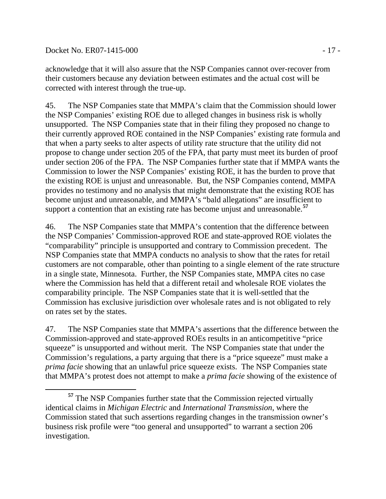Docket No. ER07-1415-000 - 17 -

acknowledge that it will also assure that the NSP Companies cannot over-recover from their customers because any deviation between estimates and the actual cost will be corrected with interest through the true-up.

45. The NSP Companies state that MMPA's claim that the Commission should lower the NSP Companies' existing ROE due to alleged changes in business risk is wholly unsupported. The NSP Companies state that in their filing they proposed no change to their currently approved ROE contained in the NSP Companies' existing rate formula and that when a party seeks to alter aspects of utility rate structure that the utility did not propose to change under section 205 of the FPA, that party must meet its burden of proof under section 206 of the FPA. The NSP Companies further state that if MMPA wants the Commission to lower the NSP Companies' existing ROE, it has the burden to prove that the existing ROE is unjust and unreasonable. But, the NSP Companies contend, MMPA provides no testimony and no analysis that might demonstrate that the existing ROE has become unjust and unreasonable, and MMPA's "bald allegations" are insufficient to support a contention that an existing rate has become unjust and unreasonable.**[57](#page-16-0)**

46. The NSP Companies state that MMPA's contention that the difference between the NSP Companies' Commission-approved ROE and state-approved ROE violates the "comparability" principle is unsupported and contrary to Commission precedent. The NSP Companies state that MMPA conducts no analysis to show that the rates for retail customers are not comparable, other than pointing to a single element of the rate structure in a single state, Minnesota. Further, the NSP Companies state, MMPA cites no case where the Commission has held that a different retail and wholesale ROE violates the comparability principle. The NSP Companies state that it is well-settled that the Commission has exclusive jurisdiction over wholesale rates and is not obligated to rely on rates set by the states.

47. The NSP Companies state that MMPA's assertions that the difference between the Commission-approved and state-approved ROEs results in an anticompetitive "price squeeze" is unsupported and without merit. The NSP Companies state that under the Commission's regulations, a party arguing that there is a "price squeeze" must make a *prima facie* showing that an unlawful price squeeze exists. The NSP Companies state that MMPA's protest does not attempt to make a *prima facie* showing of the existence of

<span id="page-16-0"></span> $\overline{a}$ **<sup>57</sup>** The NSP Companies further state that the Commission rejected virtually identical claims in *Michigan Electric* and *International Transmission*, where the Commission stated that such assertions regarding changes in the transmission owner's business risk profile were "too general and unsupported" to warrant a section 206 investigation.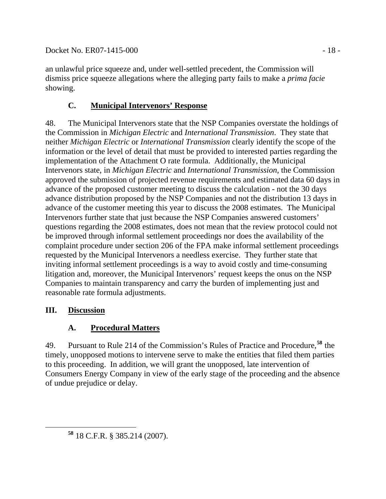an unlawful price squeeze and, under well-settled precedent, the Commission will dismiss price squeeze allegations where the alleging party fails to make a *prima facie* showing.

# **C. Municipal Intervenors' Response**

48. The Municipal Intervenors state that the NSP Companies overstate the holdings of the Commission in *Michigan Electric* and *International Transmission*. They state that neither *Michigan Electric* or *International Transmission* clearly identify the scope of the information or the level of detail that must be provided to interested parties regarding the implementation of the Attachment O rate formula. Additionally, the Municipal Intervenors state, in *Michigan Electric* and *International Transmission*, the Commission approved the submission of projected revenue requirements and estimated data 60 days in advance of the proposed customer meeting to discuss the calculation - not the 30 days advance distribution proposed by the NSP Companies and not the distribution 13 days in advance of the customer meeting this year to discuss the 2008 estimates. The Municipal Intervenors further state that just because the NSP Companies answered customers' questions regarding the 2008 estimates, does not mean that the review protocol could not be improved through informal settlement proceedings nor does the availability of the complaint procedure under section 206 of the FPA make informal settlement proceedings requested by the Municipal Intervenors a needless exercise. They further state that inviting informal settlement proceedings is a way to avoid costly and time-consuming litigation and, moreover, the Municipal Intervenors' request keeps the onus on the NSP Companies to maintain transparency and carry the burden of implementing just and reasonable rate formula adjustments.

## **III. Discussion**

# **A. Procedural Matters**

49. Pursuant to Rule 214 of the Commission's Rules of Practice and Procedure,**[58](#page-17-0)** the timely, unopposed motions to intervene serve to make the entities that filed them parties to this proceeding. In addition, we will grant the unopposed, late intervention of Consumers Energy Company in view of the early stage of the proceeding and the absence of undue prejudice or delay.

<span id="page-17-0"></span>**<sup>58</sup>** 18 C.F.R. § 385.214 (2007).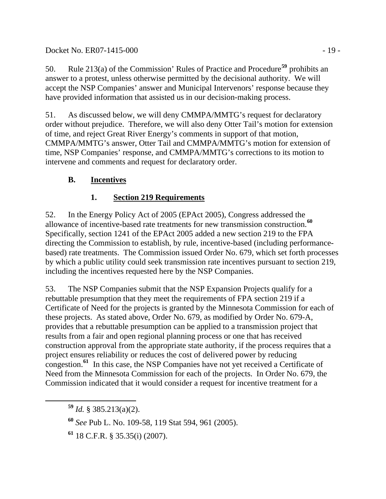### Docket No. ER07-1415-000 - 19 -

50. Rule 213(a) of the Commission' Rules of Practice and Procedure**[59](#page-18-0)** prohibits an answer to a protest, unless otherwise permitted by the decisional authority. We will accept the NSP Companies' answer and Municipal Intervenors' response because they have provided information that assisted us in our decision-making process.

51. As discussed below, we will deny CMMPA/MMTG's request for declaratory order without prejudice. Therefore, we will also deny Otter Tail's motion for extension of time, and reject Great River Energy's comments in support of that motion, CMMPA/MMTG's answer, Otter Tail and CMMPA/MMTG's motion for extension of time, NSP Companies' response, and CMMPA/MMTG's corrections to its motion to intervene and comments and request for declaratory order.

## **B. Incentives**

## **1. Section 219 Requirements**

52. In the Energy Policy Act of 2005 (EPAct 2005), Congress addressed the allowance of incentive-based rate treatments for new transmission construction.**[60](#page-18-1)** Specifically, section 1241 of the EPAct 2005 added a new section 219 to the FPA directing the Commission to establish, by rule, incentive-based (including performancebased) rate treatments. The Commission issued Order No. 679, which set forth processes by which a public utility could seek transmission rate incentives pursuant to section 219, including the incentives requested here by the NSP Companies.

53. The NSP Companies submit that the NSP Expansion Projects qualify for a rebuttable presumption that they meet the requirements of FPA section 219 if a Certificate of Need for the projects is granted by the Minnesota Commission for each of these projects. As stated above, Order No. 679, as modified by Order No. 679-A, provides that a rebuttable presumption can be applied to a transmission project that results from a fair and open regional planning process or one that has received construction approval from the appropriate state authority, if the process requires that a project ensures reliability or reduces the cost of delivered power by reducing congestion.**[61](#page-18-2)** In this case, the NSP Companies have not yet received a Certificate of Need from the Minnesota Commission for each of the projects. In Order No. 679, the Commission indicated that it would consider a request for incentive treatment for a

<span id="page-18-0"></span>**<sup>59</sup>** *Id.* § 385.213(a)(2).

<span id="page-18-1"></span>**<sup>60</sup>** *See* Pub L. No. 109-58, 119 Stat 594, 961 (2005).

<span id="page-18-2"></span>**<sup>61</sup>** 18 C.F.R. § 35.35(i) (2007).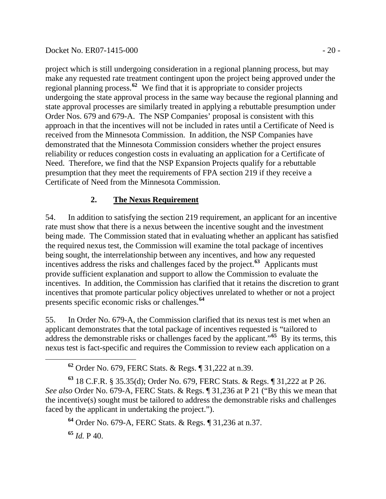project which is still undergoing consideration in a regional planning process, but may make any requested rate treatment contingent upon the project being approved under the regional planning process.**[62](#page-19-0)** We find that it is appropriate to consider projects undergoing the state approval process in the same way because the regional planning and state approval processes are similarly treated in applying a rebuttable presumption under Order Nos. 679 and 679-A. The NSP Companies' proposal is consistent with this approach in that the incentives will not be included in rates until a Certificate of Need is received from the Minnesota Commission. In addition, the NSP Companies have demonstrated that the Minnesota Commission considers whether the project ensures reliability or reduces congestion costs in evaluating an application for a Certificate of Need. Therefore, we find that the NSP Expansion Projects qualify for a rebuttable presumption that they meet the requirements of FPA section 219 if they receive a Certificate of Need from the Minnesota Commission.

## **2. The Nexus Requirement**

54. In addition to satisfying the section 219 requirement, an applicant for an incentive rate must show that there is a nexus between the incentive sought and the investment being made. The Commission stated that in evaluating whether an applicant has satisfied the required nexus test, the Commission will examine the total package of incentives being sought, the interrelationship between any incentives, and how any requested incentives address the risks and challenges faced by the project.**[63](#page-19-1)** Applicants must provide sufficient explanation and support to allow the Commission to evaluate the incentives. In addition, the Commission has clarified that it retains the discretion to grant incentives that promote particular policy objectives unrelated to whether or not a project presents specific economic risks or challenges.**[64](#page-19-2)**

55. In Order No. 679-A, the Commission clarified that its nexus test is met when an applicant demonstrates that the total package of incentives requested is "tailored to address the demonstrable risks or challenges faced by the applicant."**[65](#page-19-3)** By its terms, this nexus test is fact-specific and requires the Commission to review each application on a

<span id="page-19-3"></span>**<sup>65</sup>** *Id.* P 40.

**<sup>62</sup>** Order No. 679, FERC Stats. & Regs. ¶ 31,222 at n.39.

<span id="page-19-2"></span><span id="page-19-1"></span><span id="page-19-0"></span>**<sup>63</sup>** 18 C.F.R. § 35.35(d); Order No. 679, FERC Stats. & Regs. ¶ 31,222 at P 26. *See also* Order No. 679-A, FERC Stats. & Regs. ¶ 31,236 at P 21 ("By this we mean that the incentive(s) sought must be tailored to address the demonstrable risks and challenges faced by the applicant in undertaking the project.").

**<sup>64</sup>** Order No. 679-A, FERC Stats. & Regs. ¶ 31,236 at n.37.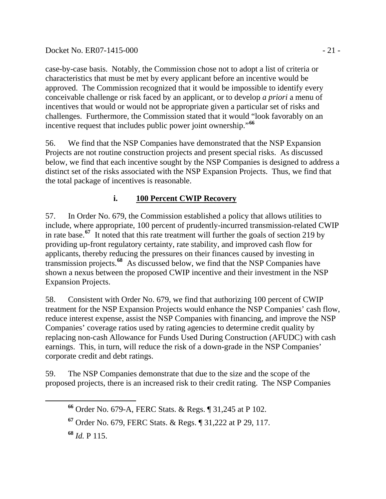case-by-case basis. Notably, the Commission chose not to adopt a list of criteria or characteristics that must be met by every applicant before an incentive would be approved. The Commission recognized that it would be impossible to identify every conceivable challenge or risk faced by an applicant, or to develop *a priori* a menu of incentives that would or would not be appropriate given a particular set of risks and challenges. Furthermore, the Commission stated that it would "look favorably on an incentive request that includes public power joint ownership."**[66](#page-20-0)**

56. We find that the NSP Companies have demonstrated that the NSP Expansion Projects are not routine construction projects and present special risks. As discussed below, we find that each incentive sought by the NSP Companies is designed to address a distinct set of the risks associated with the NSP Expansion Projects. Thus, we find that the total package of incentives is reasonable.

# **i. 100 Percent CWIP Recovery**

57. In Order No. 679, the Commission established a policy that allows utilities to include, where appropriate, 100 percent of prudently-incurred transmission-related CWIP in rate base.**[67](#page-20-1)** It noted that this rate treatment will further the goals of section 219 by providing up-front regulatory certainty, rate stability, and improved cash flow for applicants, thereby reducing the pressures on their finances caused by investing in transmission projects.**[68](#page-20-2)** As discussed below, we find that the NSP Companies have shown a nexus between the proposed CWIP incentive and their investment in the NSP Expansion Projects.

58. Consistent with Order No. 679, we find that authorizing 100 percent of CWIP treatment for the NSP Expansion Projects would enhance the NSP Companies' cash flow, reduce interest expense, assist the NSP Companies with financing, and improve the NSP Companies' coverage ratios used by rating agencies to determine credit quality by replacing non-cash Allowance for Funds Used During Construction (AFUDC) with cash earnings. This, in turn, will reduce the risk of a down-grade in the NSP Companies' corporate credit and debt ratings.

<span id="page-20-0"></span>59. The NSP Companies demonstrate that due to the size and the scope of the proposed projects, there is an increased risk to their credit rating. The NSP Companies

<span id="page-20-2"></span>**<sup>68</sup>** *Id.* P 115.

**<sup>66</sup>** Order No. 679-A, FERC Stats. & Regs. ¶ 31,245 at P 102.

<span id="page-20-1"></span>**<sup>67</sup>** Order No. 679, FERC Stats. & Regs. ¶ 31,222 at P 29, 117.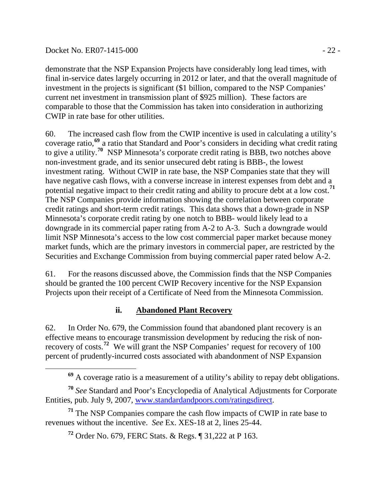#### Docket No. ER07-1415-000 - 22 -

demonstrate that the NSP Expansion Projects have considerably long lead times, with final in-service dates largely occurring in 2012 or later, and that the overall magnitude of investment in the projects is significant (\$1 billion, compared to the NSP Companies' current net investment in transmission plant of \$925 million). These factors are comparable to those that the Commission has taken into consideration in authorizing CWIP in rate base for other utilities.

60. The increased cash flow from the CWIP incentive is used in calculating a utility's coverage ratio,**[69](#page-21-0)** a ratio that Standard and Poor's considers in deciding what credit rating to give a utility.**[70](#page-21-1)** NSP Minnesota's corporate credit rating is BBB, two notches above non-investment grade, and its senior unsecured debt rating is BBB-, the lowest investment rating. Without CWIP in rate base, the NSP Companies state that they will have negative cash flows, with a converse increase in interest expenses from debt and a potential negative impact to their credit rating and ability to procure debt at a low cost.**[71](#page-21-2)** The NSP Companies provide information showing the correlation between corporate credit ratings and short-term credit ratings. This data shows that a down-grade in NSP Minnesota's corporate credit rating by one notch to BBB- would likely lead to a downgrade in its commercial paper rating from A-2 to A-3. Such a downgrade would limit NSP Minnesota's access to the low cost commercial paper market because money market funds, which are the primary investors in commercial paper, are restricted by the Securities and Exchange Commission from buying commercial paper rated below A-2.

61. For the reasons discussed above, the Commission finds that the NSP Companies should be granted the 100 percent CWIP Recovery incentive for the NSP Expansion Projects upon their receipt of a Certificate of Need from the Minnesota Commission.

### **ii. Abandoned Plant Recovery**

62. In Order No. 679, the Commission found that abandoned plant recovery is an effective means to encourage transmission development by reducing the risk of nonrecovery of costs.**[72](#page-21-3)** We will grant the NSP Companies' request for recovery of 100 percent of prudently-incurred costs associated with abandonment of NSP Expansion

**<sup>69</sup>** A coverage ratio is a measurement of a utility's ability to repay debt obligations.

<span id="page-21-1"></span><span id="page-21-0"></span>**<sup>70</sup>** *See* Standard and Poor's Encyclopedia of Analytical Adjustments for Corporate Entities, pub. July 9, 2007, [www.standardandpoors.com/ratingsdirect.](http://www.standardandpoors.com/ratingsdirect)

<span id="page-21-3"></span><span id="page-21-2"></span>**<sup>71</sup>** The NSP Companies compare the cash flow impacts of CWIP in rate base to revenues without the incentive. *See* Ex. XES-18 at 2, lines 25-44.

**<sup>72</sup>** Order No. 679, FERC Stats. & Regs. ¶ 31,222 at P 163.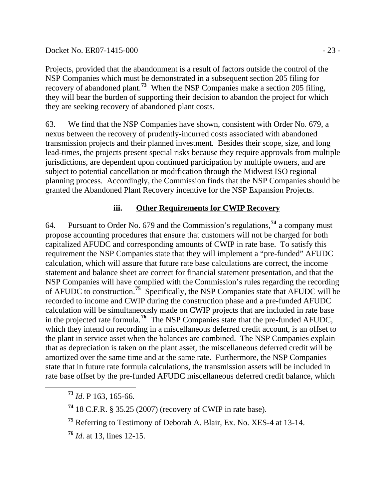Projects, provided that the abandonment is a result of factors outside the control of the NSP Companies which must be demonstrated in a subsequent section 205 filing for recovery of abandoned plant.**[73](#page-22-0)** When the NSP Companies make a section 205 filing, they will bear the burden of supporting their decision to abandon the project for which they are seeking recovery of abandoned plant costs.

63. We find that the NSP Companies have shown, consistent with Order No. 679, a nexus between the recovery of prudently-incurred costs associated with abandoned transmission projects and their planned investment. Besides their scope, size, and long lead-times, the projects present special risks because they require approvals from multiple jurisdictions, are dependent upon continued participation by multiple owners, and are subject to potential cancellation or modification through the Midwest ISO regional planning process. Accordingly, the Commission finds that the NSP Companies should be granted the Abandoned Plant Recovery incentive for the NSP Expansion Projects.

## **iii. Other Requirements for CWIP Recovery**

64. Pursuant to Order No. 679 and the Commission's regulations,**[74](#page-22-1)** a company must propose accounting procedures that ensure that customers will not be charged for both capitalized AFUDC and corresponding amounts of CWIP in rate base. To satisfy this requirement the NSP Companies state that they will implement a "pre-funded" AFUDC calculation, which will assure that future rate base calculations are correct, the income statement and balance sheet are correct for financial statement presentation, and that the NSP Companies will have complied with the Commission's rules regarding the recording of AFUDC to construction.**[75](#page-22-2)** Specifically, the NSP Companies state that AFUDC will be recorded to income and CWIP during the construction phase and a pre-funded AFUDC calculation will be simultaneously made on CWIP projects that are included in rate base in the projected rate formula.**[76](#page-22-3)** The NSP Companies state that the pre-funded AFUDC, which they intend on recording in a miscellaneous deferred credit account, is an offset to the plant in service asset when the balances are combined. The NSP Companies explain that as depreciation is taken on the plant asset, the miscellaneous deferred credit will be amortized over the same time and at the same rate. Furthermore, the NSP Companies state that in future rate formula calculations, the transmission assets will be included in rate base offset by the pre-funded AFUDC miscellaneous deferred credit balance, which

<span id="page-22-0"></span>**<sup>73</sup>** *Id*. P 163, 165-66.

<span id="page-22-1"></span>**<sup>74</sup>** 18 C.F.R. § 35.25 (2007) (recovery of CWIP in rate base).

<span id="page-22-2"></span>**<sup>75</sup>** Referring to Testimony of Deborah A. Blair, Ex. No. XES-4 at 13-14.

<span id="page-22-3"></span>**<sup>76</sup>** *Id*. at 13, lines 12-15.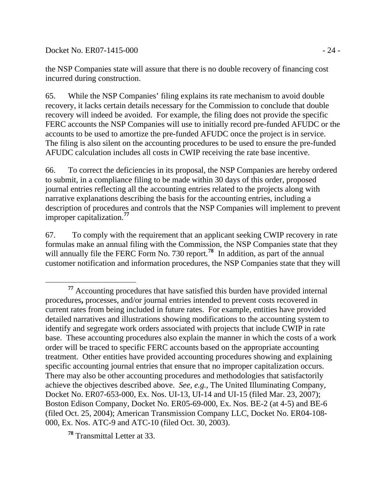Docket No. ER07-1415-000 - 24 -

the NSP Companies state will assure that there is no double recovery of financing cost incurred during construction.

65. While the NSP Companies' filing explains its rate mechanism to avoid double recovery, it lacks certain details necessary for the Commission to conclude that double recovery will indeed be avoided. For example, the filing does not provide the specific FERC accounts the NSP Companies will use to initially record pre-funded AFUDC or the accounts to be used to amortize the pre-funded AFUDC once the project is in service. The filing is also silent on the accounting procedures to be used to ensure the pre-funded AFUDC calculation includes all costs in CWIP receiving the rate base incentive.

66. To correct the deficiencies in its proposal, the NSP Companies are hereby ordered to submit, in a compliance filing to be made within 30 days of this order, proposed journal entries reflecting all the accounting entries related to the projects along with narrative explanations describing the basis for the accounting entries, including a description of procedures and controls that the NSP Companies will implement to prevent improper capitalization.**[77](#page-23-0)**

67. To comply with the requirement that an applicant seeking CWIP recovery in rate formulas make an annual filing with the Commission, the NSP Companies state that they will annually file the FERC Form No. 730 report.<sup>[78](#page-23-1)</sup> In addition, as part of the annual customer notification and information procedures, the NSP Companies state that they will

<span id="page-23-1"></span>**<sup>78</sup>** Transmittal Letter at 33.

<span id="page-23-0"></span> **<sup>77</sup>** Accounting procedures that have satisfied this burden have provided internal procedures**,** processes, and/or journal entries intended to prevent costs recovered in current rates from being included in future rates. For example, entities have provided detailed narratives and illustrations showing modifications to the accounting system to identify and segregate work orders associated with projects that include CWIP in rate base. These accounting procedures also explain the manner in which the costs of a work order will be traced to specific FERC accounts based on the appropriate accounting treatment. Other entities have provided accounting procedures showing and explaining specific accounting journal entries that ensure that no improper capitalization occurs. There may also be other accounting procedures and methodologies that satisfactorily achieve the objectives described above. *See, e.g.*, The United Illuminating Company, Docket No. ER07-653-000, Ex. Nos. UI-13, UI-14 and UI-15 (filed Mar. 23, 2007); Boston Edison Company, Docket No. ER05-69-000, Ex. Nos. BE-2 (at 4-5) and BE-6 (filed Oct. 25, 2004); American Transmission Company LLC, Docket No. ER04-108- 000, Ex. Nos. ATC-9 and ATC-10 (filed Oct. 30, 2003).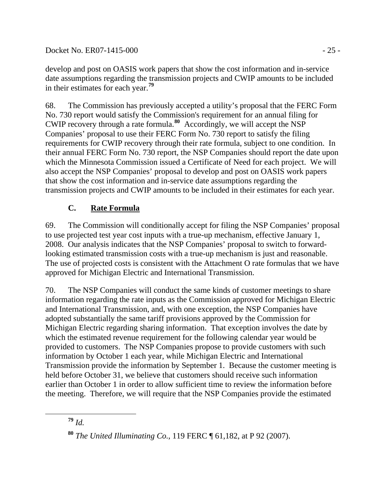Docket No. ER07-1415-000 - 25 -

develop and post on OASIS work papers that show the cost information and in-service date assumptions regarding the transmission projects and CWIP amounts to be included in their estimates for each year.**[79](#page-24-0)**

68. The Commission has previously accepted a utility's proposal that the FERC Form No. 730 report would satisfy the Commission's requirement for an annual filing for CWIP recovery through a rate formula.**[80](#page-24-1)** Accordingly, we will accept the NSP Companies' proposal to use their FERC Form No. 730 report to satisfy the filing requirements for CWIP recovery through their rate formula, subject to one condition. In their annual FERC Form No. 730 report, the NSP Companies should report the date upon which the Minnesota Commission issued a Certificate of Need for each project. We will also accept the NSP Companies' proposal to develop and post on OASIS work papers that show the cost information and in-service date assumptions regarding the transmission projects and CWIP amounts to be included in their estimates for each year.

# **C. Rate Formula**

69. The Commission will conditionally accept for filing the NSP Companies' proposal to use projected test year cost inputs with a true-up mechanism, effective January 1, 2008. Our analysis indicates that the NSP Companies' proposal to switch to forwardlooking estimated transmission costs with a true-up mechanism is just and reasonable. The use of projected costs is consistent with the Attachment O rate formulas that we have approved for Michigan Electric and International Transmission.

70. The NSP Companies will conduct the same kinds of customer meetings to share information regarding the rate inputs as the Commission approved for Michigan Electric and International Transmission, and, with one exception, the NSP Companies have adopted substantially the same tariff provisions approved by the Commission for Michigan Electric regarding sharing information. That exception involves the date by which the estimated revenue requirement for the following calendar year would be provided to customers. The NSP Companies propose to provide customers with such information by October 1 each year, while Michigan Electric and International Transmission provide the information by September 1. Because the customer meeting is held before October 31, we believe that customers should receive such information earlier than October 1 in order to allow sufficient time to review the information before the meeting. Therefore, we will require that the NSP Companies provide the estimated

<span id="page-24-0"></span> $79$  *Id.* 

<span id="page-24-1"></span>**<sup>80</sup>** *The United Illuminating Co.*, 119 FERC ¶ 61,182, at P 92 (2007).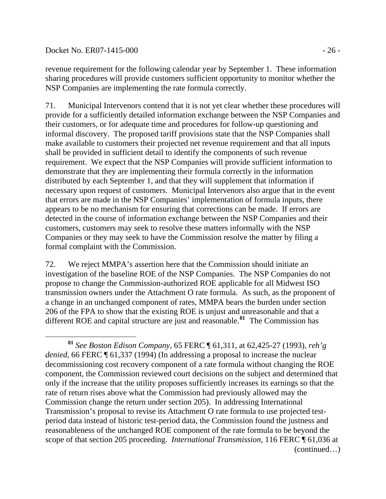#### Docket No. ER07-1415-000 - 26 -

 $\overline{a}$ 

revenue requirement for the following calendar year by September 1. These information sharing procedures will provide customers sufficient opportunity to monitor whether the NSP Companies are implementing the rate formula correctly.

71. Municipal Intervenors contend that it is not yet clear whether these procedures will provide for a sufficiently detailed information exchange between the NSP Companies and their customers, or for adequate time and procedures for follow-up questioning and informal discovery. The proposed tariff provisions state that the NSP Companies shall make available to customers their projected net revenue requirement and that all inputs shall be provided in sufficient detail to identify the components of such revenue requirement. We expect that the NSP Companies will provide sufficient information to demonstrate that they are implementing their formula correctly in the information distributed by each September 1, and that they will supplement that information if necessary upon request of customers. Municipal Intervenors also argue that in the event that errors are made in the NSP Companies' implementation of formula inputs, there appears to be no mechanism for ensuring that corrections can be made. If errors are detected in the course of information exchange between the NSP Companies and their customers, customers may seek to resolve these matters informally with the NSP Companies or they may seek to have the Commission resolve the matter by filing a formal complaint with the Commission.

72. We reject MMPA's assertion here that the Commission should initiate an investigation of the baseline ROE of the NSP Companies. The NSP Companies do not propose to change the Commission-authorized ROE applicable for all Midwest ISO transmission owners under the Attachment O rate formula. As such, as the proponent of a change in an unchanged component of rates, MMPA bears the burden under section 206 of the FPA to show that the existing ROE is unjust and unreasonable and that a different ROE and capital structure are just and reasonable.**[81](#page-25-0)** The Commission has

<span id="page-25-0"></span><sup>(</sup>continued…) **<sup>81</sup>** *See Boston Edison Company*, 65 FERC ¶ 61,311, at 62,425-27 (1993), *reh'g denied*, 66 FERC ¶ 61,337 (1994) (In addressing a proposal to increase the nuclear decommissioning cost recovery component of a rate formula without changing the ROE component, the Commission reviewed court decisions on the subject and determined that only if the increase that the utility proposes sufficiently increases its earnings so that the rate of return rises above what the Commission had previously allowed may the Commission change the return under section 205). In addressing International Transmission's proposal to revise its Attachment O rate formula to use projected testperiod data instead of historic test-period data, the Commission found the justness and reasonableness of the unchanged ROE component of the rate formula to be beyond the scope of that section 205 proceeding. *International Transmission*, 116 FERC ¶ 61,036 at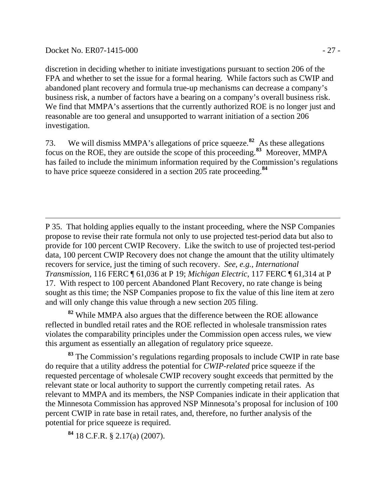#### Docket No. ER07-1415-000 - 27 -

discretion in deciding whether to initiate investigations pursuant to section 206 of the FPA and whether to set the issue for a formal hearing. While factors such as CWIP and abandoned plant recovery and formula true-up mechanisms can decrease a company's business risk, a number of factors have a bearing on a company's overall business risk. We find that MMPA's assertions that the currently authorized ROE is no longer just and reasonable are too general and unsupported to warrant initiation of a section 206 investigation.

73. We will dismiss MMPA's allegations of price squeeze.**[82](#page-26-0)** As these allegations focus on the ROE, they are outside the scope of this proceeding.**[83](#page-26-1)** Moreover, MMPA has failed to include the minimum information required by the Commission's regulations to have price squeeze considered in a section 205 rate proceeding.**[84](#page-26-2)**

P 35. That holding applies equally to the instant proceeding, where the NSP Companies propose to revise their rate formula not only to use projected test-period data but also to provide for 100 percent CWIP Recovery. Like the switch to use of projected test-period data, 100 percent CWIP Recovery does not change the amount that the utility ultimately recovers for service, just the timing of such recovery. *See, e.g., International Transmission*, 116 FERC ¶ 61,036 at P 19; *Michigan Electric*, 117 FERC ¶ 61,314 at P 17. With respect to 100 percent Abandoned Plant Recovery, no rate change is being sought as this time; the NSP Companies propose to fix the value of this line item at zero and will only change this value through a new section 205 filing.

<span id="page-26-0"></span>**<sup>82</sup>** While MMPA also argues that the difference between the ROE allowance reflected in bundled retail rates and the ROE reflected in wholesale transmission rates violates the comparability principles under the Commission open access rules, we view this argument as essentially an allegation of regulatory price squeeze.

<span id="page-26-1"></span>**<sup>83</sup>** The Commission's regulations regarding proposals to include CWIP in rate base do require that a utility address the potential for *CWIP-related* price squeeze if the requested percentage of wholesale CWIP recovery sought exceeds that permitted by the relevant state or local authority to support the currently competing retail rates. As relevant to MMPA and its members, the NSP Companies indicate in their application that the Minnesota Commission has approved NSP Minnesota's proposal for inclusion of 100 percent CWIP in rate base in retail rates, and, therefore, no further analysis of the potential for price squeeze is required.

<span id="page-26-2"></span>**<sup>84</sup>** 18 C.F.R. § 2.17(a) (2007).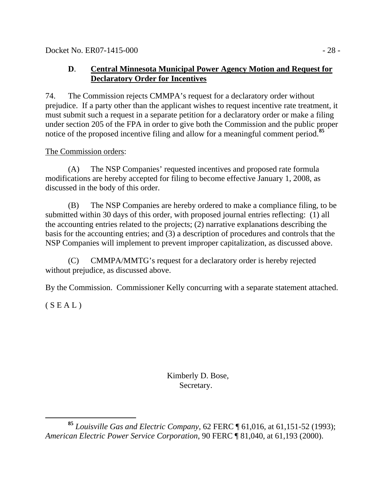Docket No. ER07-1415-000 - 28 -

### **D**. **Central Minnesota Municipal Power Agency Motion and Request for Declaratory Order for Incentives**

74. The Commission rejects CMMPA's request for a declaratory order without prejudice. If a party other than the applicant wishes to request incentive rate treatment, it must submit such a request in a separate petition for a declaratory order or make a filing under section 205 of the FPA in order to give both the Commission and the public proper notice of the proposed incentive filing and allow for a meaningful comment period.**[85](#page-27-0)**

### The Commission orders:

(A) The NSP Companies' requested incentives and proposed rate formula modifications are hereby accepted for filing to become effective January 1, 2008, as discussed in the body of this order.

(B) The NSP Companies are hereby ordered to make a compliance filing, to be submitted within 30 days of this order, with proposed journal entries reflecting: (1) all the accounting entries related to the projects; (2) narrative explanations describing the basis for the accounting entries; and (3) a description of procedures and controls that the NSP Companies will implement to prevent improper capitalization, as discussed above.

(C) CMMPA/MMTG's request for a declaratory order is hereby rejected without prejudice, as discussed above.

By the Commission. Commissioner Kelly concurring with a separate statement attached.

 $(S E A L)$ 

 Kimberly D. Bose, Secretary.

<span id="page-27-0"></span>**<sup>85</sup>** *Louisville Gas and Electric Company*, 62 FERC ¶ 61,016, at 61,151-52 (1993); *American Electric Power Service Corporation*, 90 FERC ¶ 81,040, at 61,193 (2000).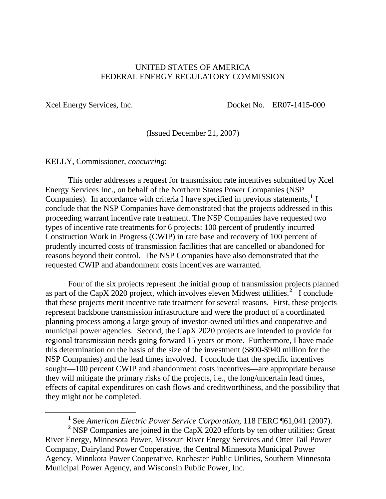#### UNITED STATES OF AMERICA FEDERAL ENERGY REGULATORY COMMISSION

 $\overline{a}$ 

Xcel Energy Services, Inc. Docket No. ER07-1415-000

(Issued December 21, 2007)

KELLY, Commissioner, *concurring*:

 This order addresses a request for transmission rate incentives submitted by Xcel Energy Services Inc., on behalf of the Northern States Power Companies (NSP Companies). In accordance with criteria I have specified in previous statements,<sup>[1](#page-28-0)</sup> I conclude that the NSP Companies have demonstrated that the projects addressed in this proceeding warrant incentive rate treatment. The NSP Companies have requested two types of incentive rate treatments for 6 projects: 100 percent of prudently incurred Construction Work in Progress (CWIP) in rate base and recovery of 100 percent of prudently incurred costs of transmission facilities that are cancelled or abandoned for reasons beyond their control. The NSP Companies have also demonstrated that the requested CWIP and abandonment costs incentives are warranted.

 Four of the six projects represent the initial group of transmission projects planned as part of the CapX [2](#page-28-1)020 project, which involves eleven Midwest utilities.<sup>2</sup> I conclude that these projects merit incentive rate treatment for several reasons. First, these projects represent backbone transmission infrastructure and were the product of a coordinated planning process among a large group of investor-owned utilities and cooperative and municipal power agencies. Second, the CapX 2020 projects are intended to provide for regional transmission needs going forward 15 years or more. Furthermore, I have made this determination on the basis of the size of the investment (\$800-\$940 million for the NSP Companies) and the lead times involved. I conclude that the specific incentives sought—100 percent CWIP and abandonment costs incentives—are appropriate because they will mitigate the primary risks of the projects, i.e., the long/uncertain lead times, effects of capital expenditures on cash flows and creditworthiness, and the possibility that they might not be completed.

**1** See *American Electric Power Service Corporation*, 118 FERC ¶61,041 (2007).

<span id="page-28-1"></span><span id="page-28-0"></span><sup>2</sup> NSP Companies are joined in the CapX 2020 efforts by ten other utilities: Great River Energy, Minnesota Power, Missouri River Energy Services and Otter Tail Power Company, Dairyland Power Cooperative, the Central Minnesota Municipal Power Agency, Minnkota Power Cooperative, Rochester Public Utilities, Southern Minnesota Municipal Power Agency, and Wisconsin Public Power, Inc.